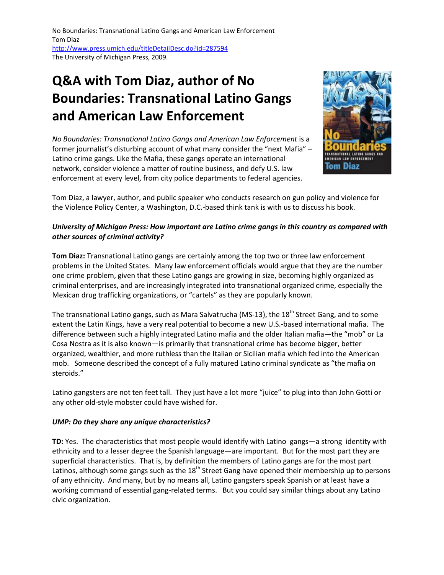# **Q&A with Tom Diaz, author of No Boundaries: Transnational Latino Gangs and American Law Enforcement**

*No Boundaries: Transnational Latino Gangs and American Law Enforcement is a* former journalist's disturbing account of what many consider the "next Mafia" – Latino crime gangs. Like the Mafia, these gangs operate an international network, consider violence a matter of routine business, and defy U.S. law enforcement at every level, from city police departments to federal agencies.



Tom Diaz, a lawyer, author, and public speaker who conducts research on gun policy and violence for the Violence Policy Center, a Washington, D.C.-based think tank is with us to discuss his book.

# *University of Michigan Press: How important are Latino crime gangs in this country as compared with other sources of criminal activity?*

**Tom Diaz:** Transnational Latino gangs are certainly among the top two or three law enforcement problems in the United States. Many law enforcement officials would argue that they are the number one crime problem, given that these Latino gangs are growing in size, becoming highly organized as criminal enterprises, and are increasingly integrated into transnational organized crime, especially the Mexican drug trafficking organizations, or "cartels" as they are popularly known.

The transnational Latino gangs, such as Mara Salvatrucha (MS-13), the 18<sup>th</sup> Street Gang, and to some extent the Latin Kings, have a very real potential to become a new U.S.-based international mafia. The difference between such a highly integrated Latino mafia and the older Italian mafia—the "mob" or La Cosa Nostra as it is also known—is primarily that transnational crime has become bigger, better organized, wealthier, and more ruthless than the Italian or Sicilian mafia which fed into the American mob. Someone described the concept of a fully matured Latino criminal syndicate as "the mafia on steroids."

Latino gangsters are not ten feet tall. They just have a lot more "juice" to plug into than John Gotti or any other old-style mobster could have wished for.

# *UMP: Do they share any unique characteristics?*

**TD:** Yes. The characteristics that most people would identify with Latino gangs—a strong identity with ethnicity and to a lesser degree the Spanish language—are important. But for the most part they are superficial characteristics. That is, by definition the members of Latino gangs are for the most part Latinos, although some gangs such as the 18<sup>th</sup> Street Gang have opened their membership up to persons of any ethnicity. And many, but by no means all, Latino gangsters speak Spanish or at least have a working command of essential gang-related terms. But you could say similar things about any Latino civic organization.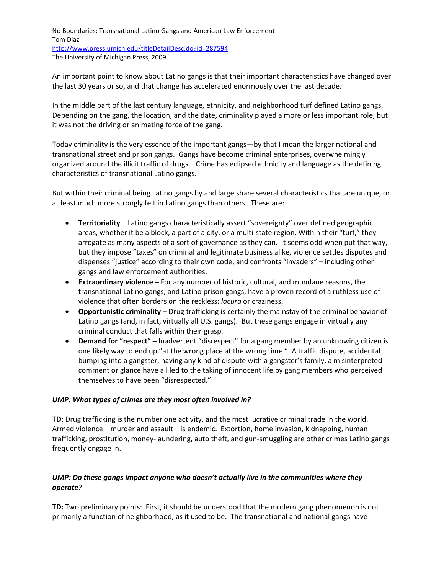An important point to know about Latino gangs is that their important characteristics have changed over the last 30 years or so, and that change has accelerated enormously over the last decade.

In the middle part of the last century language, ethnicity, and neighborhood turf defined Latino gangs. Depending on the gang, the location, and the date, criminality played a more or less important role, but it was not the driving or animating force of the gang.

Today criminality is the very essence of the important gangs—by that I mean the larger national and transnational street and prison gangs. Gangs have become criminal enterprises, overwhelmingly organized around the illicit traffic of drugs. Crime has eclipsed ethnicity and language as the defining characteristics of transnational Latino gangs.

But within their criminal being Latino gangs by and large share several characteristics that are unique, or at least much more strongly felt in Latino gangs than others. These are:

- **Territoriality** Latino gangs characteristically assert "sovereignty" over defined geographic areas, whether it be a block, a part of a city, or a multi-state region. Within their "turf," they arrogate as many aspects of a sort of governance as they can. It seems odd when put that way, but they impose "taxes" on criminal and legitimate business alike, violence settles disputes and dispenses "justice" according to their own code, and confronts "invaders" – including other gangs and law enforcement authorities.
- **Extraordinary violence** For any number of historic, cultural, and mundane reasons, the transnational Latino gangs, and Latino prison gangs, have a proven record of a ruthless use of violence that often borders on the reckless: *locura* or craziness.
- **Opportunistic criminality** Drug trafficking is certainly the mainstay of the criminal behavior of Latino gangs (and, in fact, virtually all U.S. gangs). But these gangs engage in virtually any criminal conduct that falls within their grasp.
- **Demand for "respect**" Inadvertent "disrespect" for a gang member by an unknowing citizen is one likely way to end up "at the wrong place at the wrong time." A traffic dispute, accidental bumping into a gangster, having any kind of dispute with a gangster's family, a misinterpreted comment or glance have all led to the taking of innocent life by gang members who perceived themselves to have been "disrespected."

### *UMP: What types of crimes are they most often involved in?*

**TD:** Drug trafficking is the number one activity, and the most lucrative criminal trade in the world. Armed violence – murder and assault—is endemic. Extortion, home invasion, kidnapping, human trafficking, prostitution, money-laundering, auto theft, and gun-smuggling are other crimes Latino gangs frequently engage in.

# *UMP: Do these gangs impact anyone who doesn't actually live in the communities where they operate?*

**TD:** Two preliminary points: First, it should be understood that the modern gang phenomenon is not primarily a function of neighborhood, as it used to be. The transnational and national gangs have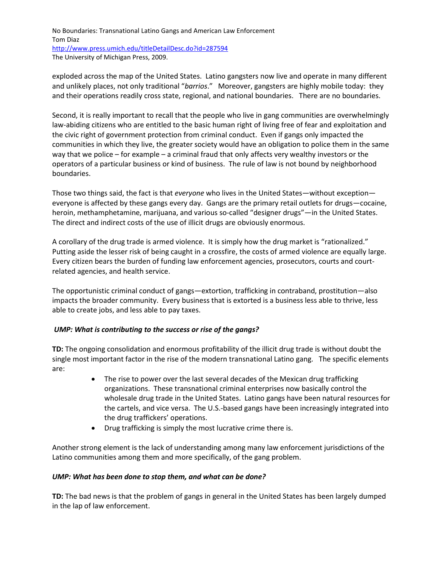exploded across the map of the United States. Latino gangsters now live and operate in many different and unlikely places, not only traditional "*barrios*." Moreover, gangsters are highly mobile today: they and their operations readily cross state, regional, and national boundaries. There are no boundaries.

Second, it is really important to recall that the people who live in gang communities are overwhelmingly law-abiding citizens who are entitled to the basic human right of living free of fear and exploitation and the civic right of government protection from criminal conduct. Even if gangs only impacted the communities in which they live, the greater society would have an obligation to police them in the same way that we police – for example – a criminal fraud that only affects very wealthy investors or the operators of a particular business or kind of business. The rule of law is not bound by neighborhood boundaries.

Those two things said, the fact is that *everyone* who lives in the United States—without exception everyone is affected by these gangs every day. Gangs are the primary retail outlets for drugs—cocaine, heroin, methamphetamine, marijuana, and various so-called "designer drugs"—in the United States. The direct and indirect costs of the use of illicit drugs are obviously enormous.

A corollary of the drug trade is armed violence. It is simply how the drug market is "rationalized." Putting aside the lesser risk of being caught in a crossfire, the costs of armed violence are equally large. Every citizen bears the burden of funding law enforcement agencies, prosecutors, courts and courtrelated agencies, and health service.

The opportunistic criminal conduct of gangs—extortion, trafficking in contraband, prostitution—also impacts the broader community. Every business that is extorted is a business less able to thrive, less able to create jobs, and less able to pay taxes.

# *UMP: What is contributing to the success or rise of the gangs?*

**TD:** The ongoing consolidation and enormous profitability of the illicit drug trade is without doubt the single most important factor in the rise of the modern transnational Latino gang. The specific elements are:

- The rise to power over the last several decades of the Mexican drug trafficking organizations. These transnational criminal enterprises now basically control the wholesale drug trade in the United States. Latino gangs have been natural resources for the cartels, and vice versa. The U.S.-based gangs have been increasingly integrated into the drug traffickers' operations.
- Drug trafficking is simply the most lucrative crime there is.

Another strong element is the lack of understanding among many law enforcement jurisdictions of the Latino communities among them and more specifically, of the gang problem.

### *UMP: What has been done to stop them, and what can be done?*

**TD:** The bad news is that the problem of gangs in general in the United States has been largely dumped in the lap of law enforcement.